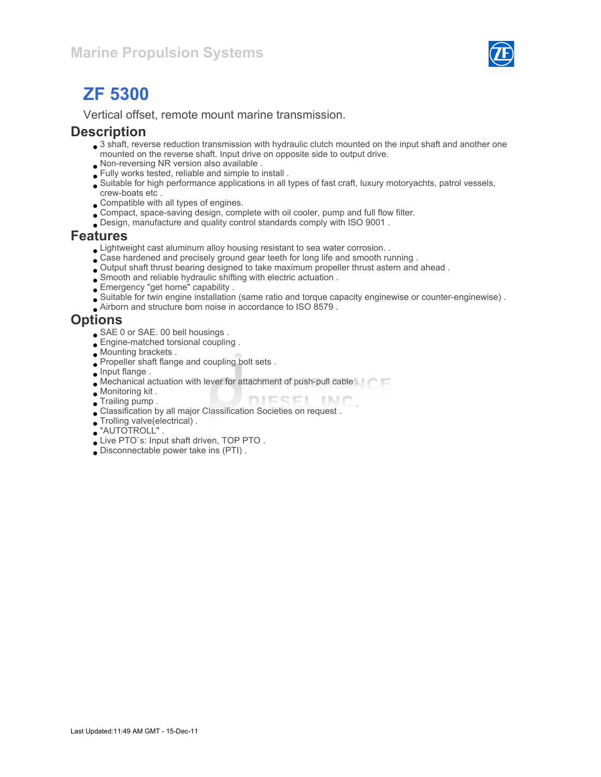

# ZF 5300

Vertical offset, remote mount marine transmission.

#### **Description**

- 3 shaft, reverse reduction transmission with hydraulic clutch mounted on the input shaft and another one mounted on the reverse shaft. Input drive on opposite side to output drive.
- Non-reversing NR version also available .
- Fully works tested, reliable and simple to install .
- Suitable for high performance applications in all types of fast craft, luxury motoryachts, patrol vessels, crew-boats etc .
- Compatible with all types of engines.
- Compact, space-saving design, complete with oil cooler, pump and full flow filter.
- Design, manufacture and quality control standards comply with ISO 9001 .

#### Features

- Lightweight cast aluminum alloy housing resistant to sea water corrosion. .
- Case hardened and precisely ground gear teeth for long life and smooth running .
- Output shaft thrust bearing designed to take maximum propeller thrust astern and ahead .
- Smooth and reliable hydraulic shifting with electric actuation .
- Emergency "get home" capability .
- Suitable for twin engine installation (same ratio and torque capacity enginewise or counter-enginewise) .
- Airborn and structure born noise in accordance to ISO 8579 .

#### **Options**

- SAE 0 or SAE. 00 bell housings .
- **Engine-matched torsional coupling**.
- Mounting brackets .
- Propeller shaft flange and coupling bolt sets .
- **Input flange.**
- Mechanical actuation with lever for attachment of push-pull cable .
- Monitoring kit .
- DIESEL INC. **Trailing pump.**
- Classification by all major Classification Societies on request .
- Trolling valve(electrical) .
- "AUTOTROLL" .
- Live PTO`s: Input shaft driven, TOP PTO .
- Disconnectable power take ins (PTI) .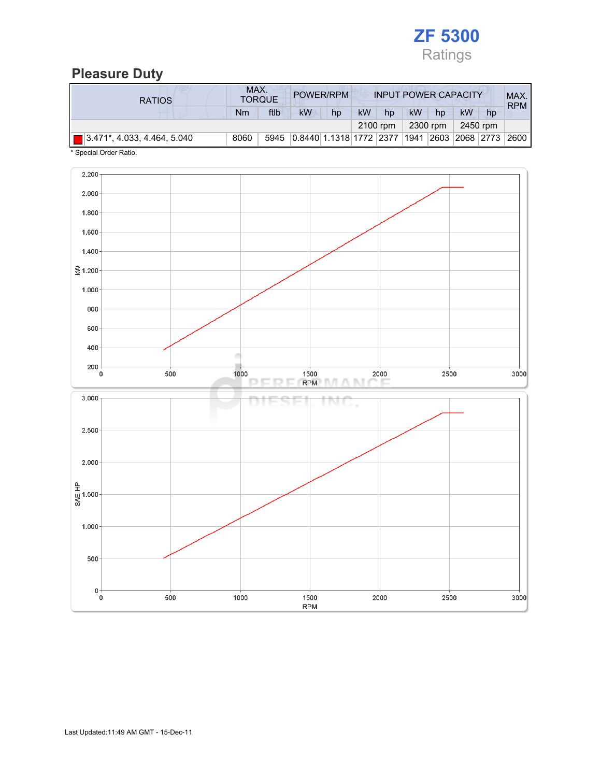

### Pleasure Duty

| <b>RATIOS</b>                          | MAX. | <b>TORQUE</b> | POWER/RPM                                        |    |           |          |    |          | <b>INPUT POWER CAPACITY</b> |    | MAX.<br><b>RPM</b> |
|----------------------------------------|------|---------------|--------------------------------------------------|----|-----------|----------|----|----------|-----------------------------|----|--------------------|
|                                        | Nm   | ftlb          | <b>kW</b>                                        | hp | <b>kW</b> | hp       | kW | hp       | kW                          | hp |                    |
|                                        |      |               |                                                  |    |           | 2100 rpm |    | 2300 rpm | 2450 rpm                    |    |                    |
| $\sqrt{3.471^*}$ , 4.033, 4.464, 5.040 | 8060 | 5945          | 0.8440 1.1318 1772 2377 1941 2603 2068 2773 2600 |    |           |          |    |          |                             |    |                    |

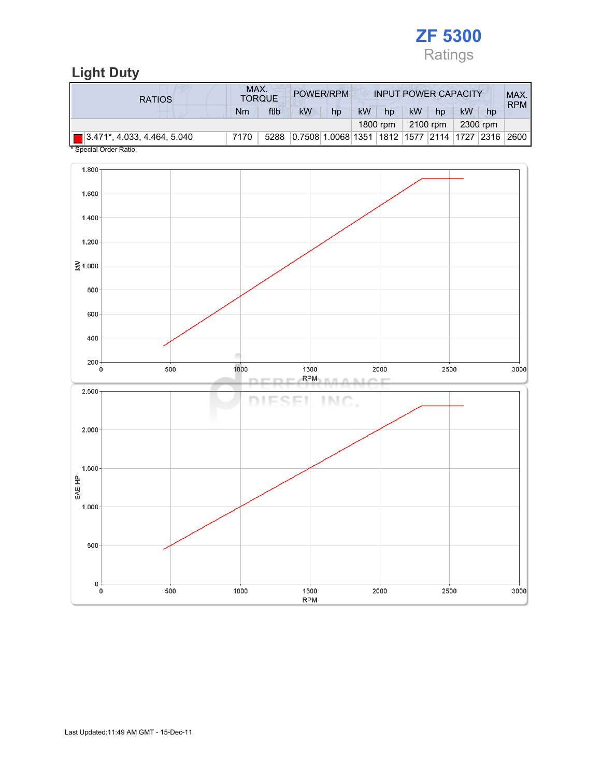

# Light Duty

| <b>RATIOS</b>                                       | MAX. | <b>TORQUE</b> | POWER/RPM                                               |    |           |          |    | <b>INPUT POWER CAPACITY</b> |           |    | MAX.<br><b>RPM</b> |
|-----------------------------------------------------|------|---------------|---------------------------------------------------------|----|-----------|----------|----|-----------------------------|-----------|----|--------------------|
|                                                     | Nm   | ftlb          | <b>kW</b>                                               | hp | <b>kW</b> | hp       | kW | hp                          | <b>kW</b> | hp |                    |
|                                                     |      |               |                                                         |    |           | 1800 rpm |    | 2100 rpm                    | 2300 rpm  |    |                    |
| $\boxed{ }$ 3.471*, 4.033, 4.464, 5.040<br>$\cdots$ | 7170 | 5288          | 0.7508 1.0068 1351  1812  1577  2114  1727  2316   2600 |    |           |          |    |                             |           |    |                    |

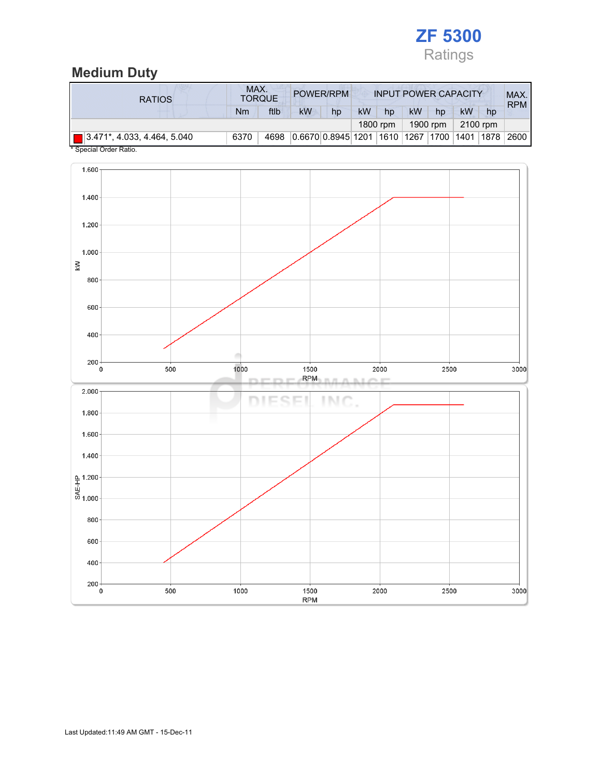

## Medium Duty

| <b>RATIOS</b>                           | MAX. | <b>TORQUE</b> |                                        | POWER/RPM |    |          |    |          | <b>INPUT POWER CAPACITY</b> |      | MAX.<br><b>RPM</b> |
|-----------------------------------------|------|---------------|----------------------------------------|-----------|----|----------|----|----------|-----------------------------|------|--------------------|
|                                         | Nm   | ftlb          | kW                                     | hp        | kW | hp       | kW | hp       | kW                          | hp   |                    |
|                                         |      |               |                                        |           |    | 1800 rpm |    | 1900 rpm | 2100 rpm                    |      |                    |
| $\boxed{ }$ 3.471*, 4.033, 4.464, 5.040 | 6370 | 4698          | 0.6670 0.8945 1201 1610 1267 1700 1401 |           |    |          |    |          |                             | 1878 | 2600               |

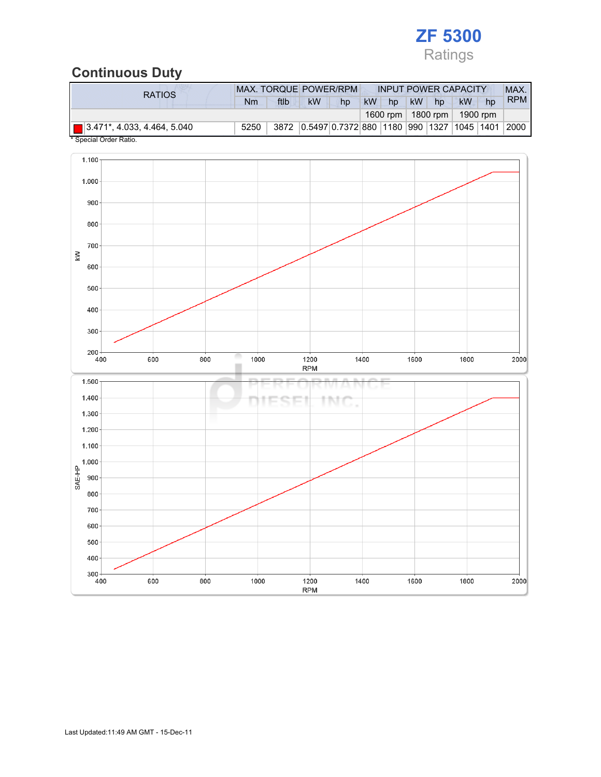

## Continuous Duty

| <b>RATIOS</b>                           | <b>MAX. TORQUE POWER/RPM</b> |      |    |    | <b>INPUT POWER CAPACITY</b>                    | MAX. |    |                 |            |
|-----------------------------------------|------------------------------|------|----|----|------------------------------------------------|------|----|-----------------|------------|
|                                         | Nm                           | ftlb | kW | hp | <b>kW</b><br>hp                                | kW   | hp | <b>kW</b><br>hp | <b>RPM</b> |
|                                         |                              |      |    |    | 1600 rpm   1800 rpm                            |      |    | 1900 rpm        |            |
| $\boxed{ }$ 3.471*, 4.033, 4.464, 5.040 | 5250                         |      |    |    | 3872 0.5497 0.7372 880 1180 990 1327 1045 1401 |      |    |                 | 2000       |

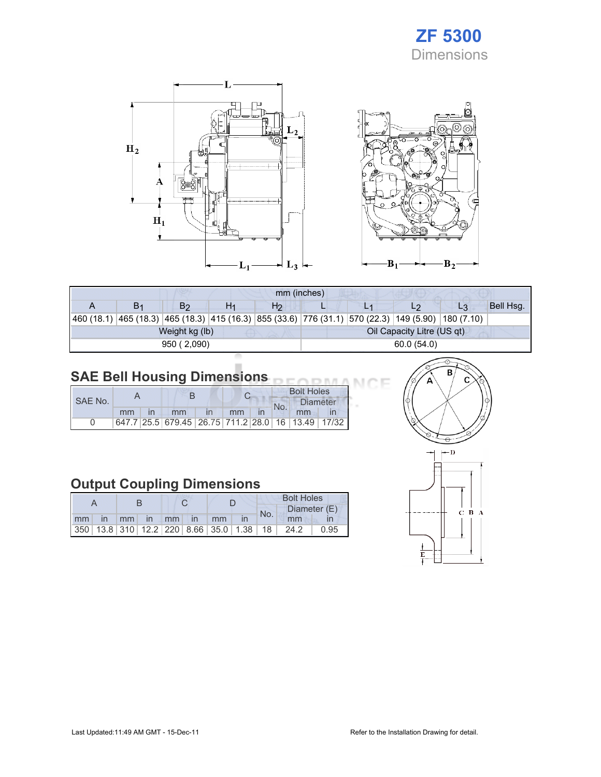# ZF 5300 Dimensions

Œ



|                                                                                                            | mm (inches) |                |    |    |            |  |                            |    |           |  |  |
|------------------------------------------------------------------------------------------------------------|-------------|----------------|----|----|------------|--|----------------------------|----|-----------|--|--|
|                                                                                                            | В1          | B <sub>2</sub> | H1 | H2 |            |  | L2                         | L3 | Bell Hsq. |  |  |
| 460 (18.1)  465 (18.3)  465 (18.3)  415 (16.3)  855 (33.6)  776 (31.1)  570 (22.3)  149 (5.90)  180 (7.10) |             |                |    |    |            |  |                            |    |           |  |  |
|                                                                                                            |             | Weight kg (lb) |    |    |            |  | Oil Capacity Litre (US qt) |    |           |  |  |
|                                                                                                            |             | 950 (2,090)    |    |    | 60.0(54.0) |  |                            |    |           |  |  |

#### SAE Bell Housing Dimensions

|         |    |  |                                             |  |    |  |     | <b>Bolt Holes</b> |       |
|---------|----|--|---------------------------------------------|--|----|--|-----|-------------------|-------|
| SAE No. |    |  |                                             |  |    |  | No. | <b>Diameter</b>   |       |
|         | mm |  | mm                                          |  | mm |  |     | mm                |       |
|         |    |  | 647.7 25.5 679.45 26.75 711.2 28.0 16 13.49 |  |    |  |     |                   | 17/32 |

# Output Coupling Dimensions

|    |              |    |       | <b>Bolt Holes</b> |                                                         |     |              |      |
|----|--------------|----|-------|-------------------|---------------------------------------------------------|-----|--------------|------|
|    |              |    |       |                   |                                                         | No. | Diameter (E) |      |
| mm | $\mathsf{I}$ | mm | in mm | $\mathsf{In}$     | mm                                                      |     | mm           |      |
|    |              |    |       |                   | 350   13.8   310   12.2   220   8.66   35.0   1.38   18 |     | 24.2         | ን.95 |